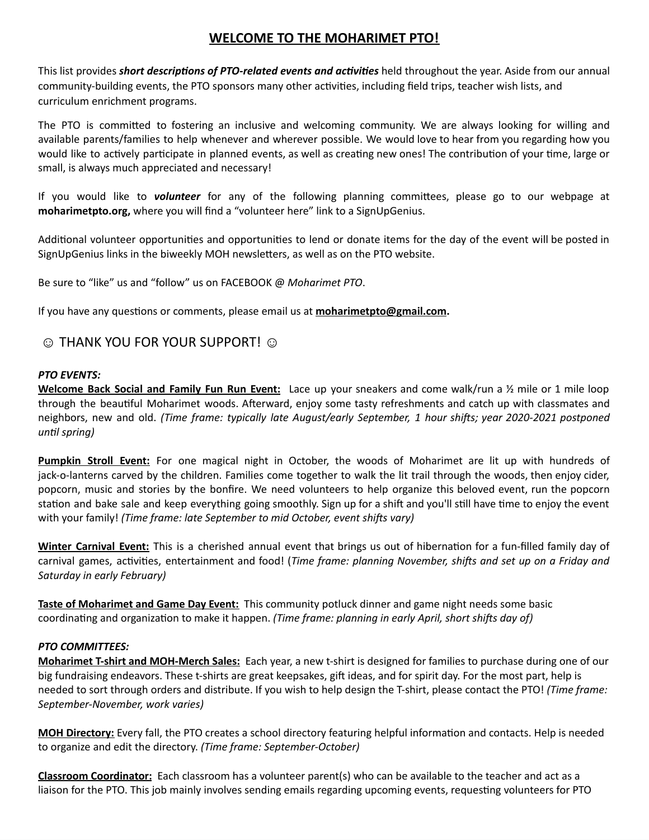# **WELCOME TO THE MOHARIMET PTO!**

This list provides *short descriptions of PTO-related events and activities* held throughout the year. Aside from our annual community-building events, the PTO sponsors many other activities, including field trips, teacher wish lists, and curriculum enrichment programs.

The PTO is committed to fostering an inclusive and welcoming community. We are always looking for willing and available parents/families to help whenever and wherever possible. We would love to hear from you regarding how you would like to actively participate in planned events, as well as creating new ones! The contribution of your time, large or small, is always much appreciated and necessary!

If you would like to *volunteer* for any of the following planning committees, please go to our webpage at **moharimetpto.org,** where you will find a "volunteer here" link to a SignUpGenius.

Additional volunteer opportunities and opportunities to lend or donate items for the day of the event will be posted in SignUpGenius links in the biweekly MOH newsletters, as well as on the PTO website.

Be sure to "like" us and "follow" us on FACEBOOK @ *Moharimet PTO*.

If you have any questions or comments, please email us at **[moharimetpto@gmail.com.](mailto:moharimetpto@gmail.com)**

# © THANK YOU FOR YOUR SUPPORT! ⓒ

### *PTO EVENTS:*

**Welcome Back Social and Family Fun Run Event:** Lace up your sneakers and come walk/run a ½ mile or 1 mile loop through the beautiful Moharimet woods. Afterward, enjoy some tasty refreshments and catch up with classmates and neighbors, new and old. *(Time frame: typically late August/early September, 1 hour shifts; year 2020-2021 postponed until spring)*

**Pumpkin Stroll Event:** For one magical night in October, the woods of Moharimet are lit up with hundreds of jack-o-lanterns carved by the children. Families come together to walk the lit trail through the woods, then enjoy cider, popcorn, music and stories by the bonfire. We need volunteers to help organize this beloved event, run the popcorn station and bake sale and keep everything going smoothly. Sign up for a shift and you'll still have time to enjoy the event with your family! *(Time frame: late September to mid October, event shifts vary)*

**Winter Carnival Event:** This is a cherished annual event that brings us out of hibernation for a fun-filled family day of carnival games, activities, entertainment and food! (*Time frame: planning November, shifts and set up on a Friday and Saturday in early February)*

**Taste of Moharimet and Game Day Event:** This community potluck dinner and game night needs some basic coordinating and organization to make it happen. *(Time frame: planning in early April, short shifts day of)*

### *PTO COMMITTEES:*

**Moharimet T-shirt and MOH-Merch Sales:** Each year, a new t-shirt is designed for families to purchase during one of our big fundraising endeavors. These t-shirts are great keepsakes, gift ideas, and for spirit day. For the most part, help is needed to sort through orders and distribute. If you wish to help design the T-shirt, please contact the PTO! *(Time frame: September-November, work varies)*

**MOH Directory:** Every fall, the PTO creates a school directory featuring helpful information and contacts. Help is needed to organize and edit the directory. *(Time frame: September-October)*

**Classroom Coordinator:** Each classroom has a volunteer parent(s) who can be available to the teacher and act as a liaison for the PTO. This job mainly involves sending emails regarding upcoming events, requesting volunteers for PTO